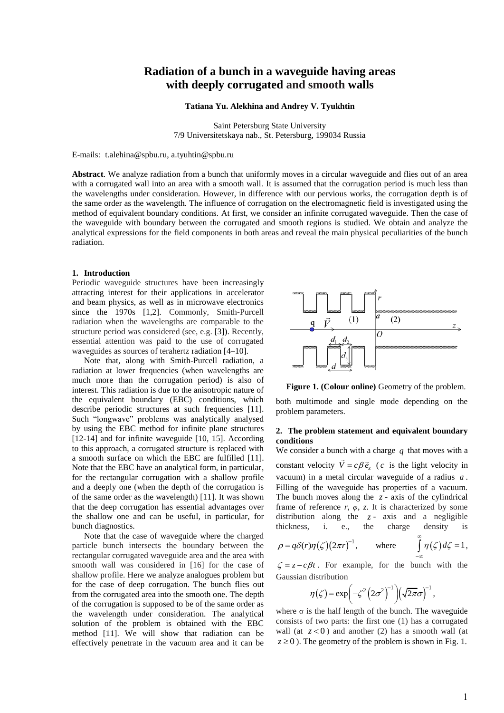# **Radiation of a bunch in a waveguide having areas with deeply corrugated and smooth walls**

**Tatiana Yu. Alekhina and Andrey V. Tyukhtin**

Saint Petersburg State University 7/9 Universitetskaya nab., St. Petersburg, 199034 Russia

E-mails: t.alehina@spbu.ru, a[.tyuhtin@spbu.ru](mailto:tyuhtin@spbu.ru)

**Abstract**. We analyze radiation from a bunch that uniformly moves in a circular waveguide and flies out of an area with a corrugated wall into an area with a smooth wall. It is assumed that the corrugation period is much less than the wavelengths under consideration. However, in difference with our pervious works, the corrugation depth is of the same order as the wavelength. The influence of corrugation on the electromagnetic field is investigated using the method of equivalent boundary conditions. At first, we consider an infinite corrugated waveguide. Then the case of the waveguide with boundary between the corrugated and smooth regions is studied. We obtain and analyze the analytical expressions for the field components in both areas and reveal the main physical peculiarities of the bunch radiation.

# **1. Introduction**

Periodic waveguide structures have been increasingly attracting interest for their applications in accelerator and beam physics, as well as in microwave electronics since the 1970s [1,2]. Commonly, Smith-Purcell radiation when the wavelengths are comparable to the structure period was considered (see, e.g. [3]). Recently, essential attention was paid to the use of corrugated waveguides as sources of terahertz radiation [4–10].

Note that, along with Smith-Purcell radiation, a radiation at lower frequencies (when wavelengths are much more than the corrugation period) is also of interest. This radiation is due to the anisotropic nature of the equivalent boundary (EBC) conditions, which describe periodic structures at such frequencies [11]. Such "longwave" problems was analytically analysed by using the EBC method for infinite plane structures [12-14] and for infinite waveguide [10, 15]. According to this approach, a corrugated structure is replaced with a smooth surface on which the EBC are fulfilled [11]. Note that the EBC have an analytical form, in particular, for the rectangular corrugation with a shallow profile and a deeply one (when the depth of the corrugation is of the same order as the wavelength) [11]. It was shown that the deep corrugation has essential advantages over the shallow one and can be useful, in particular, for bunch diagnostics.

Note that the case of waveguide where the charged particle bunch intersects the boundary between the rectangular corrugated waveguide area and the area with smooth wall was considered in [16] for the case of shallow profile. Here we analyze analogues problem but for the case of deep corrugation. The bunch flies out from the corrugated area into the smooth one. The depth of the corrugation is supposed to be of the same order as the wavelength under consideration. The analytical solution of the problem is obtained with the EBC method [11]. We will show that radiation can be effectively penetrate in the vacuum area and it can be



**Figure 1. (Colour online)** Geometry of the problem.

both multimode and single mode depending on the problem parameters.

#### **2. The problem statement and equivalent boundary conditions**

We consider a bunch with a charge  $q$  that moves with a constant velocity  $\vec{V} = c\beta \vec{e}_z$  (*c* is the light velocity in vacuum) in a metal circular waveguide of a radius *a* . Filling of the waveguide has properties of a vacuum. The bunch moves along the  $z$  - axis of the cylindrical frame of reference  $r$ ,  $\varphi$ ,  $z$ . It is characterized by some distribution along the  $z$ - axis and a negligible thickness, i. e., the charge density is

$$
\rho = q\delta(r)\eta(\zeta)(2\pi r)^{-1}, \quad \text{where} \quad \int_{-\infty}^{\infty} \eta(\zeta) d\zeta = 1,
$$

 $\zeta = z - c\beta t$ . For example, for the bunch with the Gaussian distribution

$$
\eta(\zeta) = \exp\left(-\zeta^2 \left(2\sigma^2\right)^{-1}\right) \left(\sqrt{2\pi}\sigma\right)^{-1},\,
$$

where  $\sigma$  is the half length of the bunch. The waveguide consists of two parts: the first one (1) has a corrugated wall (at  $z < 0$ ) and another (2) has a smooth wall (at  $z \ge 0$ ). The geometry of the problem is shown in Fig. 1.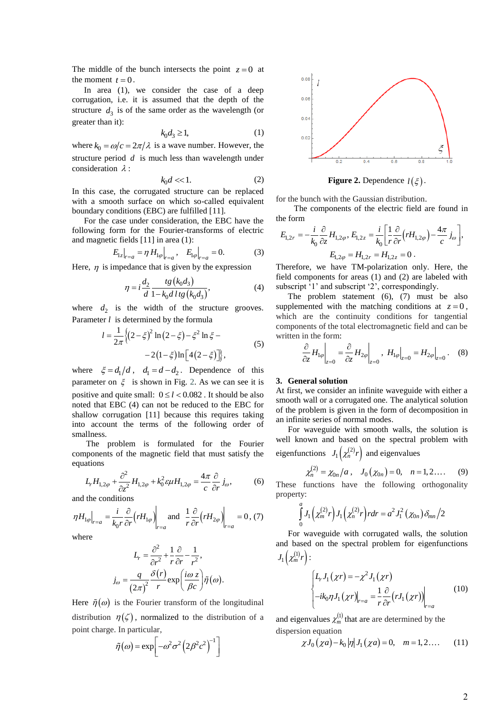The middle of the bunch intersects the point  $z = 0$  at the moment  $t = 0$ .

In area (1), we consider the case of a deep corrugation, i.e. it is assumed that the depth of the structure  $d_3$  is of the same order as the wavelength (or greater than it):

$$
k_0 d_3 \ge 1,\tag{1}
$$

where  $k_0 = \omega/c = 2\pi/\lambda$  is a wave number. However, the structure period *d* is much less than wavelength under consideration  $\lambda$ :

$$
k_0 d \ll 1. \tag{2}
$$

In this case, the corrugated structure can be replaced with a smooth surface on which so-called equivalent boundary conditions (EBC) are fulfilled [11].

For the case under consideration, the EBC have the following form for the Fourier-transforms of electric and magnetic fields [11] in area (1):

$$
E_{1z}|_{r=a} = \eta H_{1\varphi}|_{r=a}, \quad E_{1\varphi}|_{r=a} = 0. \tag{3}
$$

Here,  $\eta$  is impedance that is given by the expression

$$
\eta = i \frac{d_2}{d} \frac{tg(k_0 d_3)}{1 - k_0 d \, l \, tg(k_0 d_3)},\tag{4}
$$

where  $d_2$  is the width of the structure grooves. Parameter *l* is determined by the formula

$$
l = \frac{1}{2\pi} \{ (2 - \xi)^2 \ln (2 - \xi) - \xi^2 \ln \xi -
$$
  
-2(1 - \xi)ln [4(2 - \xi)]}, (5)

where  $\xi = d_1/d$ ,  $d_1 = d - d_2$ . Dependence of this parameter on  $\xi$  is shown in Fig. 2. As we can see it is positive and quite small:  $0 \le l < 0.082$ . It should be also noted that EBC (4) can not be reduced to the EBC for shallow corrugation [11] because this requires taking into account the terms of the following order of smallness.

The problem is formulated for the Fourier components of the magnetic field that must satisfy the equations

ations  

$$
L_r H_{1,2\varphi} + \frac{\partial^2}{\partial z^2} H_{1,2\varphi} + k_0^2 \varepsilon \mu H_{1,2\varphi} = \frac{4\pi}{c} \frac{\partial}{\partial r} j_\omega,
$$
(6)

and the conditions

$$
\eta H_{1\varphi}\Big|_{r=a} = \frac{i}{k_0 r} \frac{\partial}{\partial r} \left( r H_{1\varphi} \right) \Big|_{r=a} \text{ and } \frac{1}{r} \frac{\partial}{\partial r} \left( r H_{2\varphi} \right) \Big|_{r=a} = 0, (7)
$$

where

$$
L_r = \frac{\partial^2}{\partial r^2} + \frac{1}{r} \frac{\partial}{\partial r} - \frac{1}{r^2},
$$

$$
j_{\omega} = \frac{q}{(2\pi)^2} \frac{\delta(r)}{r} \exp\left(\frac{i\omega z}{\beta c}\right) \tilde{\eta}(\omega).
$$

Here  $\tilde{\eta}(\omega)$  is the Fourier transform of the longitudinal distribution  $\eta(\zeta)$ , normalized to the distribution of a point charge. In particular,

$$
\tilde{\eta}(\omega) = \exp\left[-\omega^2 \sigma^2 \left(2\beta^2 c^2\right)^{-1}\right]
$$



**Figure 2.** Dependence  $l(\xi)$ .

for the bunch with the Gaussian distribution.

The components of the electric field are found in the form

The form  
\n
$$
E_{1,2r} = -\frac{i}{k_0} \frac{\partial}{\partial z} H_{1,2\varphi}, E_{1,2z} = \frac{i}{k_0} \left[ \frac{1}{r} \frac{\partial}{\partial r} \left( r H_{1,2\varphi} \right) - \frac{4\pi}{c} j_\omega \right],
$$
\n
$$
E_{1,2\varphi} = H_{1,2z} = H_{1,2z} = 0.
$$

Therefore, we have TM-polarization only. Here, the field components for areas (1) and (2) are labeled with subscript '1' and subscript '2', correspondingly.

The problem statement (6), (7) must be also supplemented with the matching conditions at  $z = 0$ , which are the continuity conditions for tangential components of the total electromagnetic field and can be written in the form:

$$
\frac{\partial}{\partial z} H_{1\varphi}\Big|_{z=0} = \frac{\partial}{\partial z} H_{2\varphi}\Big|_{z=0}, \ H_{1\varphi}\Big|_{z=0} = H_{2\varphi}\Big|_{z=0}.
$$
 (8)

#### **3. General solution**

At first, we consider an infinite waveguide with either a smooth wall or a corrugated one. The analytical solution of the problem is given in the form of decomposition in an infinite series of normal modes.

For waveguide with smooth walls, the solution is well known and based on the spectral problem with eigenfunctions  $J_1(\chi_n^{(2)}r)$  and eigenvalues

$$
\chi_n^{(2)} = \chi_{0n}/a \,, \quad J_0(\chi_{0n}) = 0, \quad n = 1, 2 \dots \,.
$$
 (9)

These functions have the following orthogonality property:

$$
\int_{0}^{a} J_{1}\left(\chi_{m}^{(2)} r\right) J_{1}\left(\chi_{n}^{(2)} r\right) r dr = a^{2} J_{1}^{2}\left(\chi_{0n}\right) \delta_{mn} / 2
$$

For waveguide with corrugated walls, the solution and based on the spectral problem for eigenfunctions  $J_1(\chi_m^{(1)}r):$ 

$$
\begin{cases} L_r J_1(\chi r) = -\chi^2 J_1(\chi r) \\ -ik_0 \eta J_1(\chi r) \Big|_{r=a} = \frac{1}{r} \frac{\partial}{\partial r} (r J_1(\chi r)) \Big|_{r=a} \end{cases}
$$
(10)

and eigenvalues  $\chi_m^{(1)}$  that are are determined by the dispersion equation

rsion equation  
\n
$$
\chi J_0(\chi a) - k_0 |\eta| J_1(\chi a) = 0, \quad m = 1, 2...
$$
 (11)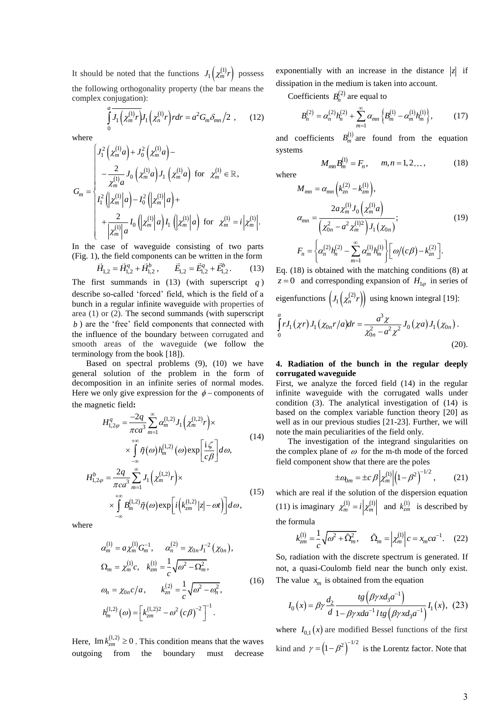It should be noted that the functions  $J_1(\chi_m^{(1)}r)$  possess the following orthogonality property (the bar means the complex conjugation):

$$
\int_{0}^{a} \overline{J_{1}(\chi_{m}^{(1)}r)} J_{1}(\chi_{n}^{(1)}r) r dr = a^{2} G_{m} \delta_{mn} / 2 , \qquad (12)
$$

where

where  
\n
$$
G_m = \begin{cases}\nJ_1^2 \left( \chi_m^{(1)} a \right) + J_0^2 \left( \chi_m^{(1)} a \right) - \\
- \frac{2}{\chi_m^{(1)} a} J_0 \left( \chi_m^{(1)} a \right) J_1 \left( \chi_m^{(1)} a \right) \text{ for } \chi_m^{(1)} \in \mathbb{R}, \\
I_1^2 \left( \chi_m^{(1)} \middle| a \right) - I_0^2 \left( \middle| \chi_m^{(1)} \middle| a \right) + \\
+ \frac{2}{\left| \chi_m^{(1)} \middle| a} J_0 \left( \middle| \chi_m^{(1)} \middle| a \right) I_1 \left( \middle| \chi_m^{(1)} \middle| a \right) \text{ for } \chi_m^{(1)} = i \left| \chi_m^{(1)} \middle|.\n\end{cases}
$$

In the case of waveguide consisting of two parts (Fig. 1), the field components can be written in the form

$$
\vec{H}_{1,2} = \vec{H}_{1,2}^q + \vec{H}_{1,2}^b, \qquad \vec{E}_{1,2} = \vec{E}_{1,2}^q + \vec{E}_{1,2}^b. \tag{13}
$$

The first summands in (13) (with superscript *q* ) describe so-called 'forced' field, which is the field of a bunch in a regular infinite waveguide with properties of area (1) or (2). The second summands (with superscript *b* ) are the 'free' field components that connected with the influence of the boundary between corrugated and smooth areas of the waveguide (we follow the terminology from the book [18]).

Based on spectral problems (9), (10) we have general solution of the problem in the form of decomposition in an infinite series of normal modes. Here we only give expression for the  $\phi$  – components of the magnetic field**:** 

$$
H_{1,2\varphi}^{q} = \frac{-2q}{\pi c a^{3}} \sum_{m=1}^{\infty} \alpha_{m}^{(1,2)} J_{1} \left( \chi_{m}^{(1,2)} r \right) \times
$$
  
\n
$$
\times \int_{-\infty}^{+\infty} \tilde{\eta}(\omega) h_{m}^{(1,2)}(\omega) \exp \left[ \frac{\mathrm{i} \zeta}{c \beta} \right] d\omega,
$$
  
\n
$$
H_{1,2\varphi}^{b} = \frac{2q}{\pi c a^{3}} \sum_{m=1}^{\infty} J_{1} \left( \chi_{m}^{(1,2)} r \right) \times
$$
  
\n
$$
\times \int_{-\infty}^{+\infty} B_{m}^{(1,2)} \tilde{\eta}(\omega) \exp \left[ i \left( k_{2m}^{(1,2)} |z| - \omega t \right) \right] d\omega,
$$
\n(15)

where

$$
\alpha_m^{(1)} = a \chi_m^{(1)} G_m^{-1}, \qquad \alpha_n^{(2)} = \chi_{0n} J_1^{-2} (\chi_{0n}),
$$
  
\n
$$
\Omega_m = \chi_m^{(1)} c, \quad k_{\text{cm}}^{(1)} = \frac{1}{c} \sqrt{\omega^2 - \Omega_m^2},
$$
  
\n
$$
\omega_n = \chi_{0n} c/a, \qquad k_{\text{cm}}^{(2)} = \frac{1}{c} \sqrt{\omega^2 - \omega_n^2},
$$
  
\n
$$
h_m^{(1,2)} (\omega) = \left[ k_{\text{cm}}^{(1,2)2} - \omega^2 (c \beta)^{-2} \right]^{-1}.
$$
\n(16)

Here, Im  $k_{\text{Zm}}^{(1,2)} \ge 0$ . This condition means that the waves outgoing from the boundary must decrease

exponentially with an increase in the distance  $|z|$  if dissipation in the medium is taken into account.

Coefficients  $B_n^{(2)}$  are equal to

$$
B_n^{(2)} = \alpha_n^{(2)} h_n^{(2)} + \sum_{m=1}^{\infty} \alpha_{mn} \left\{ B_m^{(1)} - \alpha_m^{(1)} h_m^{(1)} \right\},\tag{17}
$$

and coefficients  $B_m^{(1)}$  are found from the equation systems

$$
M_{mn}B_m^{(1)} = F_n, \qquad m, n = 1, 2... \qquad (18)
$$

where

$$
M_{mn} = \alpha_{mn} \left( k_{zn}^{(2)} - k_{zm}^{(1)} \right),
$$
  
\n
$$
\alpha_{mn} = \frac{2a \chi_m^{(1)} J_0 \left( \chi_m^{(1)} a \right)}{\left( \chi_{0n}^2 - a^2 \chi_m^{(1)}^2 \right) J_1 \left( \chi_{0n} \right)};
$$
  
\n
$$
F_n = \left\{ \alpha_n^{(2)} h_n^{(2)} - \sum_{m=1}^{\infty} \alpha_m^{(1)} h_m^{(1)} \right\} \left[ \omega / (c \beta) - k_{zn}^{(2)} \right].
$$
\n(19)

Eq. (18) is obtained with the matching conditions (8) at  $z = 0$  and corresponding expansion of  $H_{1\varphi}$  in series of

eigenfunctions  $\left(J_1(\chi_n^{(2)}r)\right)$  using known integral [19]: 3 *a*

$$
\int_{0}^{a} r J_1(\chi r) J_1(\chi_{0n} r/a) dr = \frac{a^3 \chi}{\chi_{0n}^2 - a^2 \chi^2} J_0(\chi a) J_1(\chi_{0n}).
$$
\n(20).

# **4. Radiation of the bunch in the regular deeply corrugated waveguide**

First, we analyze the forced field (14) in the regular infinite waveguide with the corrugated walls under condition (3). The analytical investigation of (14) is based on the complex variable function theory [20] as well as in our previous studies [21-23]. Further, we will note the main peculiarities of the field only.

The investigation of the integrand singularities on the complex plane of  $\omega$  for the m-th mode of the forced field component show that there are the poles

$$
\pm a_{0m} = \pm c \beta \left| \chi_m^{(1)} \right| \left( 1 - \beta^2 \right)^{-1/2}, \qquad (21)
$$

which are real if the solution of the dispersion equation (11) is imaginary  $\chi_m^{(1)} = i \left| \chi_m^{(1)} \right|$  and  $k_{2m}^{(1)}$  is described by the formula

$$
k_{zm}^{(1)} = \frac{1}{c} \sqrt{\omega^2 + \tilde{\Omega}_m^2}, \qquad \tilde{\Omega}_m = \left| \chi_m^{(1)} \right| c = x_m c a^{-1}. \tag{22}
$$

So, radiation with the discrete spectrum is generated. If not, a quasi-Coulomb field near the bunch only exist.

The value 
$$
x_m
$$
 is obtained from the equation  
\n
$$
I_0(x) = \beta \gamma \frac{d_2}{d} \frac{tg(\beta \gamma x d_3 a^{-1})}{1 - \beta \gamma x d a^{-1} l t g(\beta \gamma x d_3 a^{-1})} I_1(x), (23)
$$

where  $I_{0,1}(x)$  are modified Bessel functions of the first kind and  $\gamma = (1 - \beta^2)^{-1/2}$  is the Lorentz factor. Note that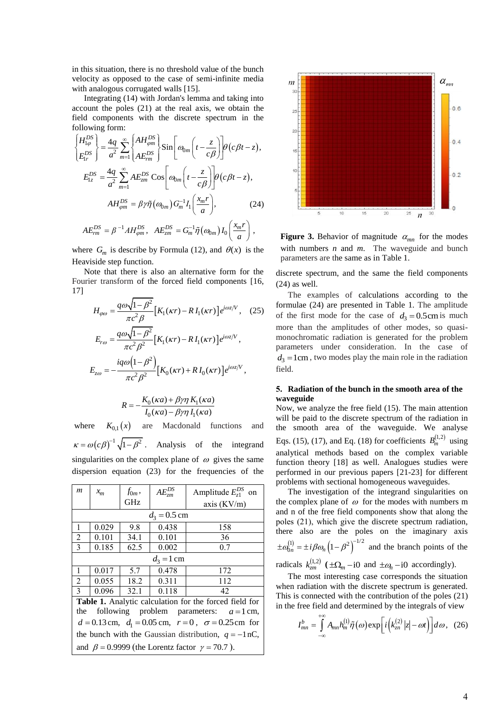in this situation, there is no threshold value of the bunch velocity as opposed to the case of semi-infinite media with analogous corrugated walls [15].

Integrating (14) with Jordan's lemma and taking into account the poles (21) at the real axis, we obtain the field components with the discrete spectrum in the following form:

following form:  
\n
$$
\begin{aligned}\n\left\{\n\begin{aligned}\nH_{1\varphi}^{DS} \\
E_{1r}^{DS}\n\end{aligned}\n\right\} &= \frac{4q}{a^2} \sum_{m=1}^{\infty} \left\{\n\frac{AH_{\varphi m}^{DS}}{AE_{\varphi m}^{DS}}\n\right\} \sin \left[\n\omega_{0m} \left(t - \frac{z}{c\beta}\right)\n\right] \theta(c\beta t - z), \\
E_{1z}^{DS} &= \frac{4q}{a^2} \sum_{m=1}^{\infty} AE_{\varphi m}^{DS} \cos \left[\n\omega_{0m} \left(t - \frac{z}{c\beta}\right)\n\right] \theta(c\beta t - z), \\
AH_{\varphi m}^{DS} &= \beta \gamma \tilde{\eta} \left(\omega_{0m}\right) G_{m}^{-1} I_{1} \left(\frac{x_{m}r}{a}\right),\n\end{aligned}
$$
\n(24)

$$
AE_{rm}^{DS} = \beta^{-1} A H_{\varphi m}^{DS}, \quad AE_{zm}^{DS} = G_m^{-1} \tilde{\eta}(\omega_{0m}) I_0\left(\frac{x_m r}{a}\right),
$$

where  $G_m$  is describe by Formula (12), and  $\theta(x)$  is the Heaviside step function.

Note that there is also an alternative form for the Fourier transform of the forced field components [16, 17]

$$
H_{\varphi\omega} = \frac{q\omega\sqrt{1-\beta^2}}{\pi c^2 \beta} \Big[ K_1(\kappa r) - R I_1(\kappa r) \Big] e^{i\omega z/V}, \quad (25)
$$

$$
E_{r\omega} = \frac{q\omega\sqrt{1-\beta^2}}{\pi c^2 \beta^2} \Big[ K_1(\kappa r) - R I_1(\kappa r) \Big] e^{i\omega z/V},
$$

$$
E_{z\omega} = -\frac{i q\omega (1-\beta^2)}{\pi c^2 \beta^2} \Big[ K_0(\kappa r) + R I_0(\kappa r) \Big] e^{i\omega z/V},
$$

$$
R = -\frac{K_0(\kappa a) + \beta \gamma \eta K_1(\kappa a)}{I_0(\kappa a) - \beta \gamma \eta I_1(\kappa a)}
$$

where  $K_{0,1}(x)$ are Macdonald functions and  $\kappa = \omega(c\beta)^{-1}\sqrt{1-\beta^2}$ . Analysis of the integrand singularities on the complex plane of  $\omega$  gives the same dispersion equation (23) for the frequencies of the

| $\boldsymbol{m}$                                                 | $x_{m}$ | $f_{0m}$ , | $AE_{zm}^{DS}$ | Amplitude $E_{21}^{DS}$ on |  |  |  |
|------------------------------------------------------------------|---------|------------|----------------|----------------------------|--|--|--|
|                                                                  |         | GHz        |                | axis $(KV/m)$              |  |  |  |
| $d_3 = 0.5$ cm                                                   |         |            |                |                            |  |  |  |
| $\mathbf{1}$                                                     | 0.029   | 9.8        | 0.438          | 158                        |  |  |  |
| $\overline{2}$                                                   | 0.101   | 34.1       | 0.101          | 36                         |  |  |  |
| $\overline{3}$                                                   | 0.185   | 62.5       | 0.002          | 0.7                        |  |  |  |
| $d_3 = 1$ cm                                                     |         |            |                |                            |  |  |  |
| $\mathbf{1}$                                                     | 0.017   | 5.7        | 0.478          | 172                        |  |  |  |
| $\overline{2}$                                                   | 0.055   | 18.2       | 0.311          | 112                        |  |  |  |
| $\overline{3}$                                                   | 0.096   | 32.1       | 0.118          | 42                         |  |  |  |
| <b>Table 1.</b> Analytic calculation for the forced field for    |         |            |                |                            |  |  |  |
| following problem parameters: $a=1$ cm,<br>the                   |         |            |                |                            |  |  |  |
| $d = 0.13$ cm, $d_1 = 0.05$ cm, $r = 0$ , $\sigma = 0.25$ cm for |         |            |                |                            |  |  |  |
| the bunch with the Gaussian distribution, $q = -1$ nC,           |         |            |                |                            |  |  |  |
| and $\beta = 0.9999$ (the Lorentz factor $\gamma = 70.7$ ).      |         |            |                |                            |  |  |  |



**Figure 3.** Behavior of magnitude  $\alpha_{mn}$  for the modes with numbers *n* and *m*. The waveguide and bunch parameters are the same as in Table 1.

discrete spectrum, and the same the field components (24) as well.

The examples of calculations according to the formulae (24) are presented in Table 1. The amplitude of the first mode for the case of  $d_3 = 0.5$ cm is much more than the amplitudes of other modes, so quasimonochromatic radiation is generated for the problem parameters under consideration. In the case of  $d_3 = 1$ cm, two modes play the main role in the radiation field.

# **5. Radiation of the bunch in the smooth area of the waveguide**

Now, we analyze the free field (15). The main attention will be paid to the discrete spectrum of the radiation in the smooth area of the waveguide. We analyse Eqs. (15), (17), and Eq. (18) for coefficients  $B_m^{(1,2)}$  using analytical methods based on the complex variable function theory [18] as well. Analogues studies were performed in our previous papers [21-23] for different problems with sectional homogeneous waveguides.

The investigation of the integrand singularities on the complex plane of  $\omega$  for the modes with numbers m and n of the free field components show that along the poles (21), which give the discrete spectrum radiation, there also are the poles on the imaginary axis  $\pm a_{0n}^{(1)} = \pm i \beta \omega_n \left(1 - \beta^2\right)^{-1/2}$  and the branch points of the radicals  $k_{cm}^{(1,2)}$  ( $\pm \Omega_m - i0$  and  $\pm \omega_n - i0$  accordingly).

The most interesting case corresponds the situation when radiation with the discrete spectrum is generated. This is connected with the contribution of the poles (21) in the free field and determined by the integrals of view

$$
I_{mn}^b = \int_{-\infty}^{+\infty} A_{mn} h_m^{(1)} \tilde{\eta}(\omega) \exp\left[i\left(k_{zn}^{(2)}|z| - \omega t\right)\right] d\omega, \quad (26)
$$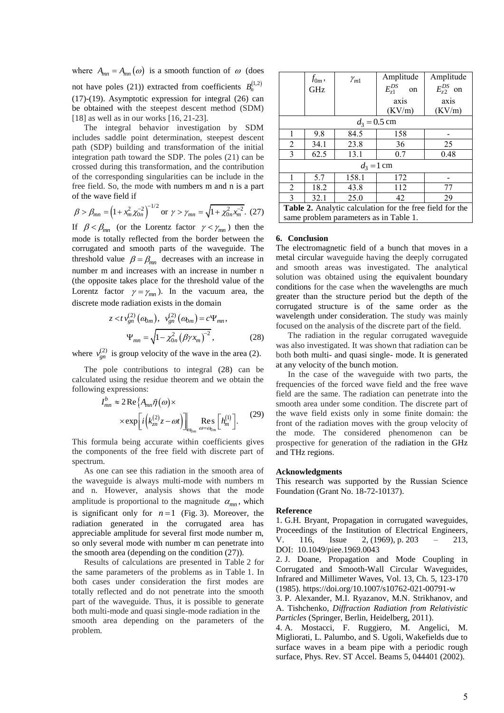where  $A_{mn} = A_{mn}(\omega)$  is a smooth function of  $\omega$  (does not have poles (21)) extracted from coefficients  $B_n^{(1,2)}$ (17)-(19). Asymptotic expression for integral (26) can be obtained with the steepest descent method (SDM) [18] as well as in our works [16, 21-23].

The integral behavior investigation by SDM includes saddle point determination, steepest descent path (SDP) building and transformation of the initial integration path toward the SDP. The poles (21) can be crossed during this transformation, and the contribution of the corresponding singularities can be include in the free field. So, the mode with numbers m and n is a part of the wave field if

of the wave field if  

$$
\beta > \beta_{mn} = \left(1 + x_m^2 \chi_{0n}^{-2}\right)^{-1/2} \text{ or } \gamma > \gamma_{mn} = \sqrt{1 + \chi_{0n}^2 \chi_m^{-2}}. (27)
$$

If  $\beta < \beta_{mn}$  (or the Lorentz factor  $\gamma < \gamma_{mn}$ ) then the mode is totally reflected from the border between the corrugated and smooth parts of the waveguide. The threshold value  $\beta = \beta_{mn}$  decreases with an increase in number m and increases with an increase in number n (the opposite takes place for the threshold value of the Lorentz factor  $\gamma = \gamma_{mn}$ ). In the vacuum area, the discrete mode radiation exists in the domain

$$
z < t v_{gn}^{(2)} (a_{0m}), v_{gn}^{(2)} (a_{0m}) = c \Psi_{mn},
$$
  

$$
\Psi_{mn} = \sqrt{1 - \chi_{0n}^2 (\beta \gamma x_m)^{-2}},
$$
 (28)

where  $v_{gn}^{(2)}$  is group velocity of the wave in the area (2).

The pole contributions to integral (28) can be calculated using the residue theorem and we obtain the following expressions:<br> $I_{mn}^b \approx 2 \text{Re} \{ A_m \}$ 

y expression:  
\n
$$
\sum_{mn}^{b} \approx 2 \operatorname{Re} \{ A_{mn} \tilde{\eta}(\omega) \times
$$
\n
$$
\times \exp \left[ i \left( k_{zn}^{(2)} z - \omega t \right) \right]_{\omega_{0m}} \operatorname{Res}_{\omega = \omega_{0m}} \left[ h_{m}^{(1)} \right]. \tag{29}
$$

This formula being accurate within coefficients gives the components of the free field with discrete part of spectrum.

As one can see this radiation in the smooth area of the waveguide is always multi-mode with numbers m and n. However, analysis shows that the mode amplitude is proportional to the magnitude  $\alpha_{mn}$ , which is significant only for  $n=1$  (Fig. 3). Moreover, the radiation generated in the corrugated area has appreciable amplitude for several first mode number m, so only several mode with number m can penetrate into the smooth area (depending on the condition (27)).

Results of calculations are presented in Table 2 for the same parameters of the problems as in Table 1. In both cases under consideration the first modes are totally reflected and do not penetrate into the smooth part of the waveguide. Thus, it is possible to generate both multi-mode and quasi single-mode radiation in the smooth area depending on the parameters of the problem.

|                                                                 | $f_{0m}$ , | $\gamma_{m1}$ | Amplitude               | Amplitude        |  |  |  |  |
|-----------------------------------------------------------------|------------|---------------|-------------------------|------------------|--|--|--|--|
|                                                                 | <b>GHz</b> |               | $E_{\tau 1}^{DS}$<br>on | $E_{72}^{DS}$ on |  |  |  |  |
|                                                                 |            |               | axis                    | axis             |  |  |  |  |
|                                                                 |            |               | (KV/m)                  | (KV/m)           |  |  |  |  |
| $d_3 = 0.5$ cm                                                  |            |               |                         |                  |  |  |  |  |
| 1                                                               | 9.8        | 84.5          | 158                     |                  |  |  |  |  |
| 2                                                               | 34.1       | 23.8          | 36                      | 25               |  |  |  |  |
| 3                                                               | 62.5       | 13.1          | 0.7                     | 0.48             |  |  |  |  |
| $d_3 = 1$ cm                                                    |            |               |                         |                  |  |  |  |  |
| 1                                                               | 5.7        | 158.1         | 172                     |                  |  |  |  |  |
| 2                                                               | 18.2       | 43.8          | 112                     | 77               |  |  |  |  |
| 3                                                               | 32.1       | 25.0          | 42                      | 29               |  |  |  |  |
| <b>Table 2.</b> Analytic calculation for the free field for the |            |               |                         |                  |  |  |  |  |
| same problem parameters as in Table 1.                          |            |               |                         |                  |  |  |  |  |

#### **6. Conclusion**

The electromagnetic field of a bunch that moves in a metal circular waveguide having the deeply corrugated and smooth areas was investigated. The analytical solution was obtained using the equivalent boundary conditions for the case when the wavelengths are much greater than the structure period but the depth of the corrugated structure is of the same order as the wavelength under consideration. The study was mainly focused on the analysis of the discrete part of the field.

The radiation in the regular corrugated waveguide was also investigated. It was shown that radiation can be both both multi- and quasi single- mode. It is generated at any velocity of the bunch motion.

In the case of the waveguide with two parts, the frequencies of the forced wave field and the free wave field are the same. The radiation can penetrate into the smooth area under some condition. The discrete part of the wave field exists only in some finite domain: the front of the radiation moves with the group velocity of the mode. The considered phenomenon can be prospective for generation of the radiation in the GHz and THz regions.

#### **Acknowledgments**

This research was supported by the Russian Science Foundation (Grant No. 18-72-10137).

#### **Reference**

1. G.H. Bryant, Propagation in corrugated waveguides, Proceedings of the Institution of Electrical Engineers, V. 116, Issue 2, (1969), p. 203 – 213, DOI: [10.1049/piee.1969.0043](https://doi.org/10.1049/piee.1969.0043)

2. J. Doane, Propagation and Mode Coupling in Corrugated and Smooth-Wall Circular Waveguides, Infrared and Millimeter Waves, Vol. 13, Ch. 5, 123-170 (1985)[. https://doi.org/10.1007/s10762-021-00791-w](https://doi.org/10.1007/s10762-021-00791-w)

3. P. Alexander, M.I. Ryazanov, M.N. Strikhanov, and A. Tishchenko, *Diffraction Radiation from Relativistic Particles* (Springer, Berlin, Heidelberg, 2011).

4. A. Mostacci, F. Ruggiero, M. Angelici, M. Migliorati, L. Palumbo, and S. Ugoli, Wakefields due to surface waves in a beam pipe with a periodic rough surface, Phys. Rev. ST Accel. Beams 5, 044401 (2002).